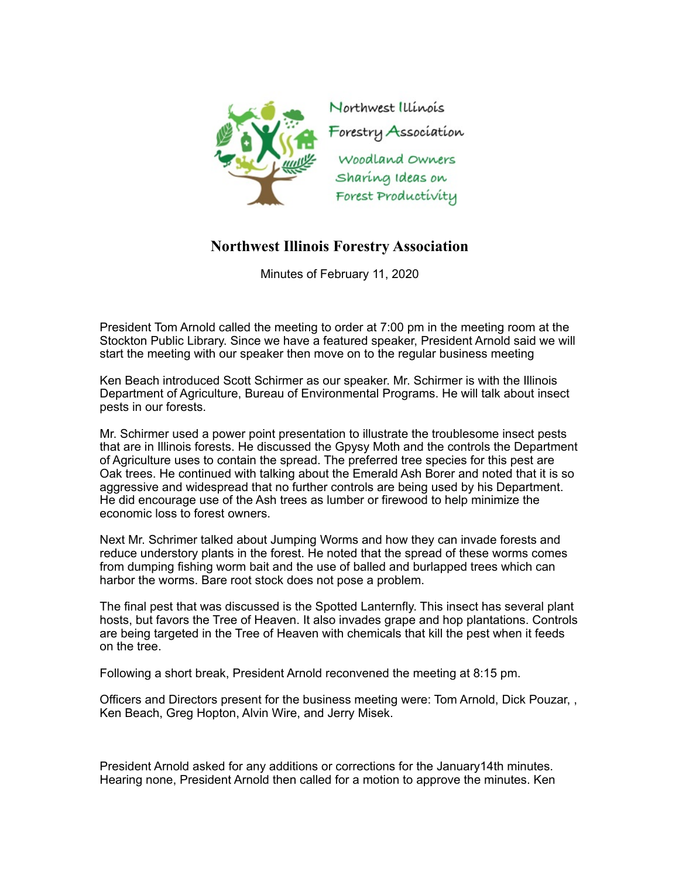

## **Northwest Illinois Forestry Association**

Minutes of February 11, 2020

President Tom Arnold called the meeting to order at 7:00 pm in the meeting room at the Stockton Public Library. Since we have a featured speaker, President Arnold said we will start the meeting with our speaker then move on to the regular business meeting

Ken Beach introduced Scott Schirmer as our speaker. Mr. Schirmer is with the Illinois Department of Agriculture, Bureau of Environmental Programs. He will talk about insect pests in our forests.

Mr. Schirmer used a power point presentation to illustrate the troublesome insect pests that are in Illinois forests. He discussed the Gpysy Moth and the controls the Department of Agriculture uses to contain the spread. The preferred tree species for this pest are Oak trees. He continued with talking about the Emerald Ash Borer and noted that it is so aggressive and widespread that no further controls are being used by his Department. He did encourage use of the Ash trees as lumber or firewood to help minimize the economic loss to forest owners.

Next Mr. Schrimer talked about Jumping Worms and how they can invade forests and reduce understory plants in the forest. He noted that the spread of these worms comes from dumping fishing worm bait and the use of balled and burlapped trees which can harbor the worms. Bare root stock does not pose a problem.

The final pest that was discussed is the Spotted Lanternfly. This insect has several plant hosts, but favors the Tree of Heaven. It also invades grape and hop plantations. Controls are being targeted in the Tree of Heaven with chemicals that kill the pest when it feeds on the tree.

Following a short break, President Arnold reconvened the meeting at 8:15 pm.

Officers and Directors present for the business meeting were: Tom Arnold, Dick Pouzar, , Ken Beach, Greg Hopton, Alvin Wire, and Jerry Misek.

President Arnold asked for any additions or corrections for the January14th minutes. Hearing none, President Arnold then called for a motion to approve the minutes. Ken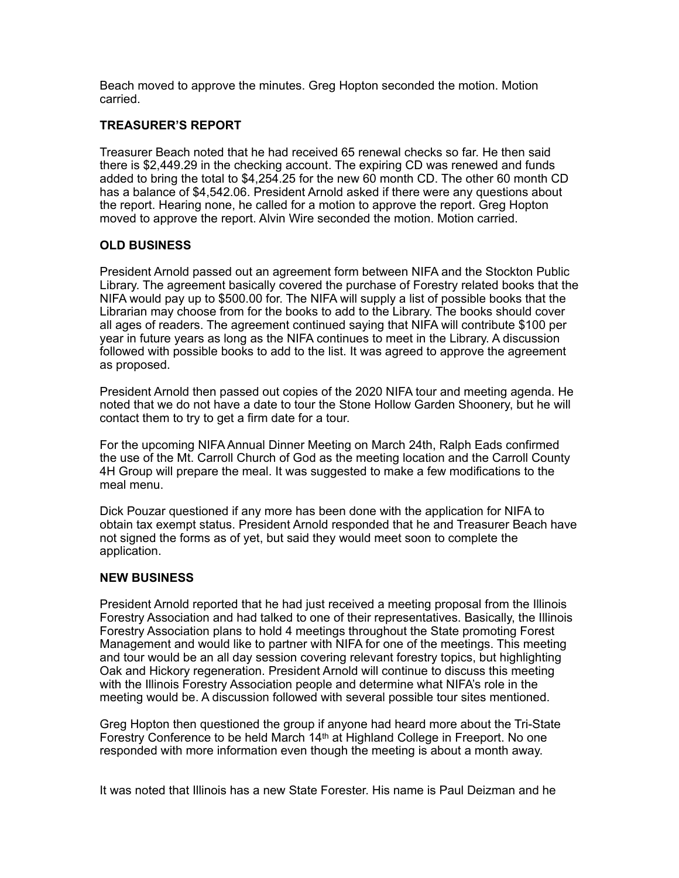Beach moved to approve the minutes. Greg Hopton seconded the motion. Motion carried.

## **TREASURER'S REPORT**

Treasurer Beach noted that he had received 65 renewal checks so far. He then said there is \$2,449.29 in the checking account. The expiring CD was renewed and funds added to bring the total to \$4,254.25 for the new 60 month CD. The other 60 month CD has a balance of \$4,542.06. President Arnold asked if there were any questions about the report. Hearing none, he called for a motion to approve the report. Greg Hopton moved to approve the report. Alvin Wire seconded the motion. Motion carried.

## **OLD BUSINESS**

President Arnold passed out an agreement form between NIFA and the Stockton Public Library. The agreement basically covered the purchase of Forestry related books that the NIFA would pay up to \$500.00 for. The NIFA will supply a list of possible books that the Librarian may choose from for the books to add to the Library. The books should cover all ages of readers. The agreement continued saying that NIFA will contribute \$100 per year in future years as long as the NIFA continues to meet in the Library. A discussion followed with possible books to add to the list. It was agreed to approve the agreement as proposed.

President Arnold then passed out copies of the 2020 NIFA tour and meeting agenda. He noted that we do not have a date to tour the Stone Hollow Garden Shoonery, but he will contact them to try to get a firm date for a tour.

For the upcoming NIFA Annual Dinner Meeting on March 24th, Ralph Eads confirmed the use of the Mt. Carroll Church of God as the meeting location and the Carroll County 4H Group will prepare the meal. It was suggested to make a few modifications to the meal menu.

Dick Pouzar questioned if any more has been done with the application for NIFA to obtain tax exempt status. President Arnold responded that he and Treasurer Beach have not signed the forms as of yet, but said they would meet soon to complete the application.

## **NEW BUSINESS**

President Arnold reported that he had just received a meeting proposal from the Illinois Forestry Association and had talked to one of their representatives. Basically, the Illinois Forestry Association plans to hold 4 meetings throughout the State promoting Forest Management and would like to partner with NIFA for one of the meetings. This meeting and tour would be an all day session covering relevant forestry topics, but highlighting Oak and Hickory regeneration. President Arnold will continue to discuss this meeting with the Illinois Forestry Association people and determine what NIFA's role in the meeting would be. A discussion followed with several possible tour sites mentioned.

Greg Hopton then questioned the group if anyone had heard more about the Tri-State Forestry Conference to be held March 14<sup>th</sup> at Highland College in Freeport. No one responded with more information even though the meeting is about a month away.

It was noted that Illinois has a new State Forester. His name is Paul Deizman and he